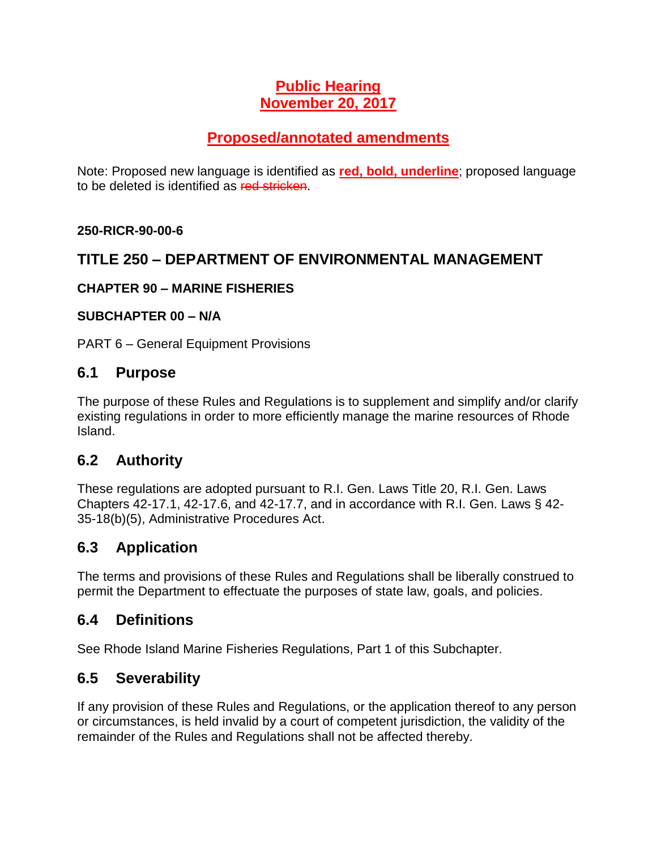## **Public Hearing November 20, 2017**

# **Proposed/annotated amendments**

Note: Proposed new language is identified as **red, bold, underline**; proposed language to be deleted is identified as red stricken.

#### **250-RICR-90-00-6**

### **TITLE 250 – DEPARTMENT OF ENVIRONMENTAL MANAGEMENT**

#### **CHAPTER 90 – MARINE FISHERIES**

#### **SUBCHAPTER 00 – N/A**

PART 6 – General Equipment Provisions

#### **6.1 Purpose**

The purpose of these Rules and Regulations is to supplement and simplify and/or clarify existing regulations in order to more efficiently manage the marine resources of Rhode Island.

### **6.2 Authority**

These regulations are adopted pursuant to R.I. Gen. Laws Title 20, R.I. Gen. Laws Chapters 42-17.1, 42-17.6, and 42-17.7, and in accordance with R.I. Gen. Laws § 42- 35-18(b)(5), Administrative Procedures Act.

# **6.3 Application**

The terms and provisions of these Rules and Regulations shall be liberally construed to permit the Department to effectuate the purposes of state law, goals, and policies.

### **6.4 Definitions**

See Rhode Island Marine Fisheries Regulations, Part 1 of this Subchapter.

# **6.5 Severability**

If any provision of these Rules and Regulations, or the application thereof to any person or circumstances, is held invalid by a court of competent jurisdiction, the validity of the remainder of the Rules and Regulations shall not be affected thereby.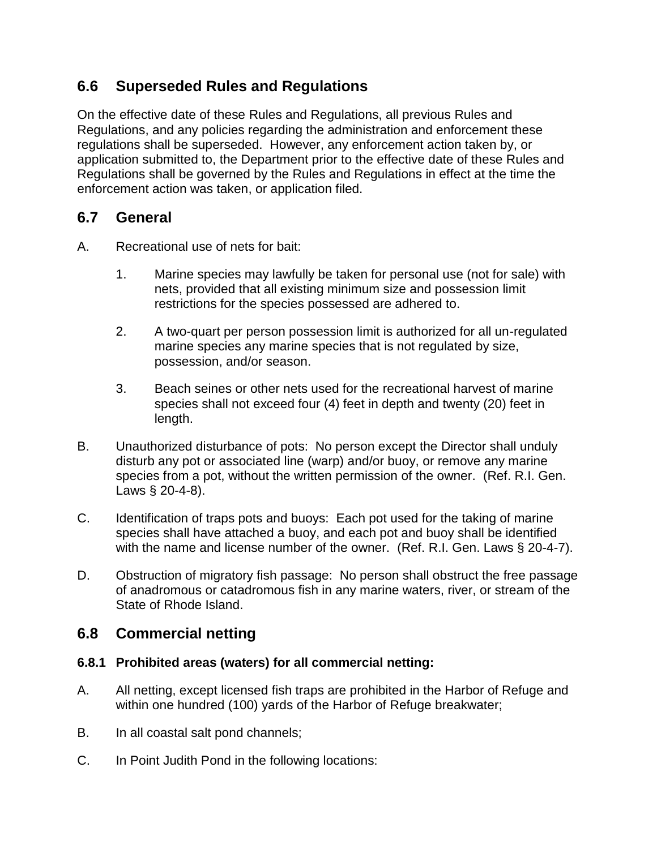# **6.6 Superseded Rules and Regulations**

On the effective date of these Rules and Regulations, all previous Rules and Regulations, and any policies regarding the administration and enforcement these regulations shall be superseded. However, any enforcement action taken by, or application submitted to, the Department prior to the effective date of these Rules and Regulations shall be governed by the Rules and Regulations in effect at the time the enforcement action was taken, or application filed.

### **6.7 General**

- A. Recreational use of nets for bait:
	- 1. Marine species may lawfully be taken for personal use (not for sale) with nets, provided that all existing minimum size and possession limit restrictions for the species possessed are adhered to.
	- 2. A two-quart per person possession limit is authorized for all un-regulated marine species any marine species that is not regulated by size, possession, and/or season.
	- 3. Beach seines or other nets used for the recreational harvest of marine species shall not exceed four (4) feet in depth and twenty (20) feet in length.
- B. Unauthorized disturbance of pots: No person except the Director shall unduly disturb any pot or associated line (warp) and/or buoy, or remove any marine species from a pot, without the written permission of the owner. (Ref. R.I. Gen. Laws § 20-4-8).
- C. Identification of traps pots and buoys: Each pot used for the taking of marine species shall have attached a buoy, and each pot and buoy shall be identified with the name and license number of the owner. (Ref. R.I. Gen. Laws § 20-4-7).
- D. Obstruction of migratory fish passage: No person shall obstruct the free passage of anadromous or catadromous fish in any marine waters, river, or stream of the State of Rhode Island.

### **6.8 Commercial netting**

#### **6.8.1 Prohibited areas (waters) for all commercial netting:**

- A. All netting, except licensed fish traps are prohibited in the Harbor of Refuge and within one hundred (100) yards of the Harbor of Refuge breakwater;
- B. In all coastal salt pond channels;
- C. In Point Judith Pond in the following locations: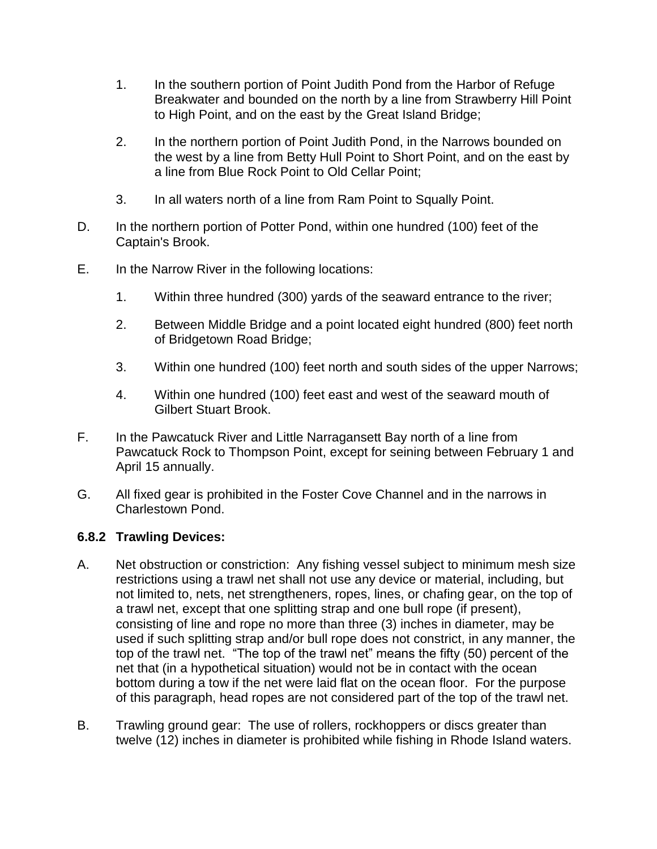- 1. In the southern portion of Point Judith Pond from the Harbor of Refuge Breakwater and bounded on the north by a line from Strawberry Hill Point to High Point, and on the east by the Great Island Bridge;
- 2. In the northern portion of Point Judith Pond, in the Narrows bounded on the west by a line from Betty Hull Point to Short Point, and on the east by a line from Blue Rock Point to Old Cellar Point;
- 3. In all waters north of a line from Ram Point to Squally Point.
- D. In the northern portion of Potter Pond, within one hundred (100) feet of the Captain's Brook.
- E. In the Narrow River in the following locations:
	- 1. Within three hundred (300) yards of the seaward entrance to the river;
	- 2. Between Middle Bridge and a point located eight hundred (800) feet north of Bridgetown Road Bridge;
	- 3. Within one hundred (100) feet north and south sides of the upper Narrows;
	- 4. Within one hundred (100) feet east and west of the seaward mouth of Gilbert Stuart Brook.
- F. In the Pawcatuck River and Little Narragansett Bay north of a line from Pawcatuck Rock to Thompson Point, except for seining between February 1 and April 15 annually.
- G. All fixed gear is prohibited in the Foster Cove Channel and in the narrows in Charlestown Pond.

#### **6.8.2 Trawling Devices:**

- A. Net obstruction or constriction: Any fishing vessel subject to minimum mesh size restrictions using a trawl net shall not use any device or material, including, but not limited to, nets, net strengtheners, ropes, lines, or chafing gear, on the top of a trawl net, except that one splitting strap and one bull rope (if present), consisting of line and rope no more than three (3) inches in diameter, may be used if such splitting strap and/or bull rope does not constrict, in any manner, the top of the trawl net. "The top of the trawl net" means the fifty (50) percent of the net that (in a hypothetical situation) would not be in contact with the ocean bottom during a tow if the net were laid flat on the ocean floor. For the purpose of this paragraph, head ropes are not considered part of the top of the trawl net.
- B. Trawling ground gear: The use of rollers, rockhoppers or discs greater than twelve (12) inches in diameter is prohibited while fishing in Rhode Island waters.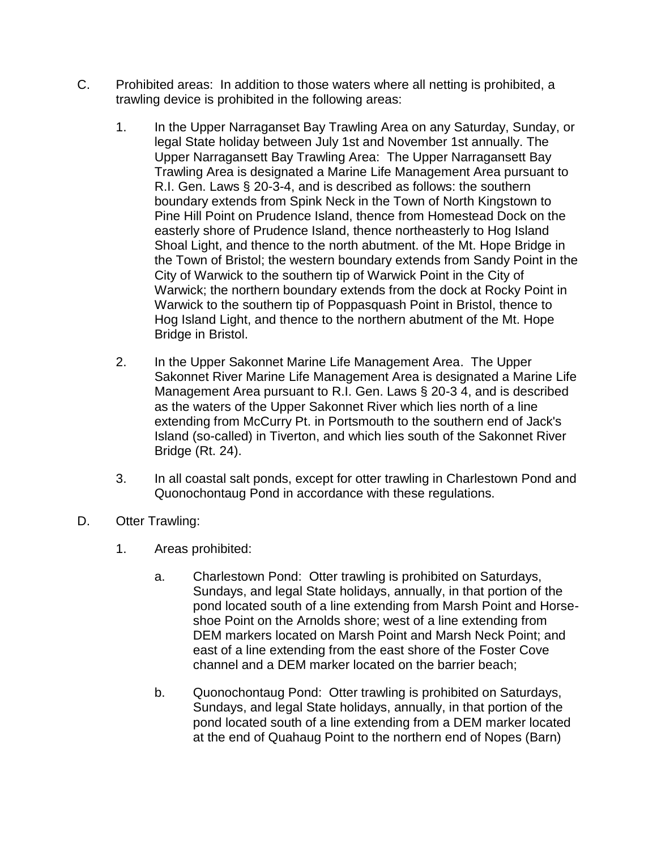- C. Prohibited areas: In addition to those waters where all netting is prohibited, a trawling device is prohibited in the following areas:
	- 1. In the Upper Narraganset Bay Trawling Area on any Saturday, Sunday, or legal State holiday between July 1st and November 1st annually. The Upper Narragansett Bay Trawling Area: The Upper Narragansett Bay Trawling Area is designated a Marine Life Management Area pursuant to R.I. Gen. Laws § 20-3-4, and is described as follows: the southern boundary extends from Spink Neck in the Town of North Kingstown to Pine Hill Point on Prudence Island, thence from Homestead Dock on the easterly shore of Prudence Island, thence northeasterly to Hog Island Shoal Light, and thence to the north abutment. of the Mt. Hope Bridge in the Town of Bristol; the western boundary extends from Sandy Point in the City of Warwick to the southern tip of Warwick Point in the City of Warwick; the northern boundary extends from the dock at Rocky Point in Warwick to the southern tip of Poppasquash Point in Bristol, thence to Hog Island Light, and thence to the northern abutment of the Mt. Hope Bridge in Bristol.
	- 2. In the Upper Sakonnet Marine Life Management Area. The Upper Sakonnet River Marine Life Management Area is designated a Marine Life Management Area pursuant to R.I. Gen. Laws § 20-3 4, and is described as the waters of the Upper Sakonnet River which lies north of a line extending from McCurry Pt. in Portsmouth to the southern end of Jack's Island (so-called) in Tiverton, and which lies south of the Sakonnet River Bridge (Rt. 24).
	- 3. In all coastal salt ponds, except for otter trawling in Charlestown Pond and Quonochontaug Pond in accordance with these regulations.
- D. Otter Trawling:
	- 1. Areas prohibited:
		- a. Charlestown Pond: Otter trawling is prohibited on Saturdays, Sundays, and legal State holidays, annually, in that portion of the pond located south of a line extending from Marsh Point and Horseshoe Point on the Arnolds shore; west of a line extending from DEM markers located on Marsh Point and Marsh Neck Point; and east of a line extending from the east shore of the Foster Cove channel and a DEM marker located on the barrier beach;
		- b. Quonochontaug Pond: Otter trawling is prohibited on Saturdays, Sundays, and legal State holidays, annually, in that portion of the pond located south of a line extending from a DEM marker located at the end of Quahaug Point to the northern end of Nopes (Barn)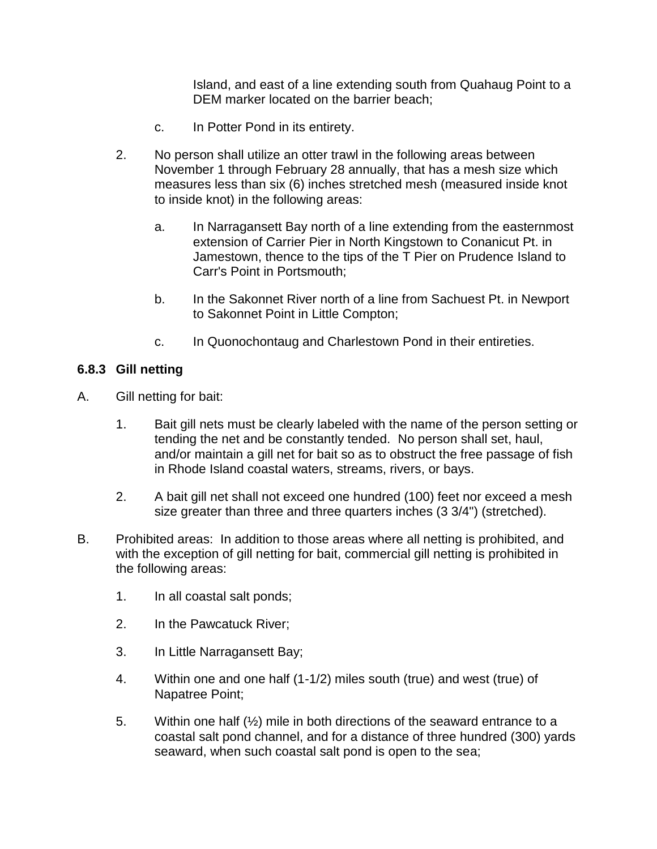Island, and east of a line extending south from Quahaug Point to a DEM marker located on the barrier beach;

- c. In Potter Pond in its entirety.
- 2. No person shall utilize an otter trawl in the following areas between November 1 through February 28 annually, that has a mesh size which measures less than six (6) inches stretched mesh (measured inside knot to inside knot) in the following areas:
	- a. In Narragansett Bay north of a line extending from the easternmost extension of Carrier Pier in North Kingstown to Conanicut Pt. in Jamestown, thence to the tips of the T Pier on Prudence Island to Carr's Point in Portsmouth;
	- b. In the Sakonnet River north of a line from Sachuest Pt. in Newport to Sakonnet Point in Little Compton;
	- c. In Quonochontaug and Charlestown Pond in their entireties.

#### **6.8.3 Gill netting**

- A. Gill netting for bait:
	- 1. Bait gill nets must be clearly labeled with the name of the person setting or tending the net and be constantly tended. No person shall set, haul, and/or maintain a gill net for bait so as to obstruct the free passage of fish in Rhode Island coastal waters, streams, rivers, or bays.
	- 2. A bait gill net shall not exceed one hundred (100) feet nor exceed a mesh size greater than three and three quarters inches (3 3/4") (stretched).
- B. Prohibited areas: In addition to those areas where all netting is prohibited, and with the exception of gill netting for bait, commercial gill netting is prohibited in the following areas:
	- 1. In all coastal salt ponds;
	- 2. In the Pawcatuck River;
	- 3. In Little Narragansett Bay;
	- 4. Within one and one half (1-1/2) miles south (true) and west (true) of Napatree Point;
	- 5. Within one half  $(\frac{1}{2})$  mile in both directions of the seaward entrance to a coastal salt pond channel, and for a distance of three hundred (300) yards seaward, when such coastal salt pond is open to the sea;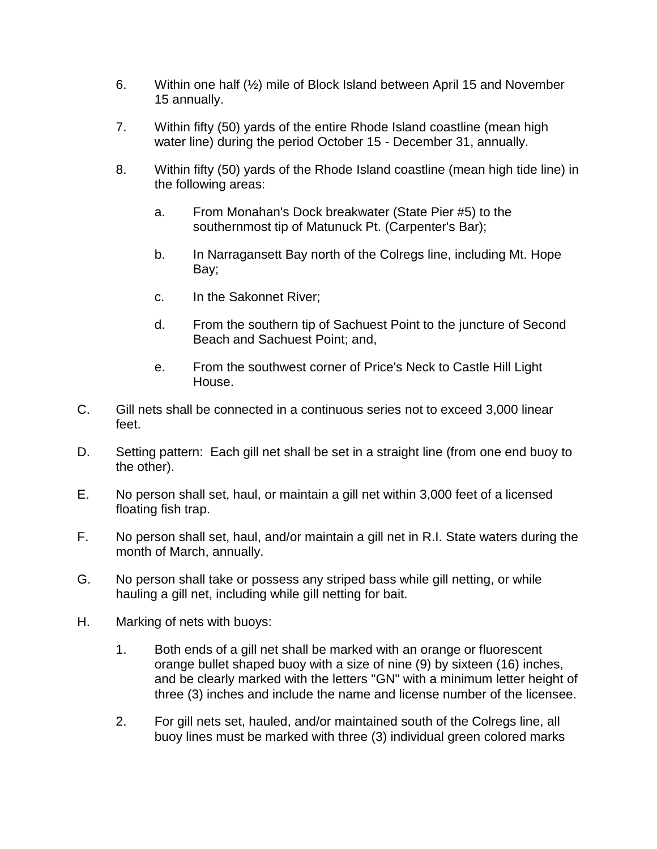- 6. Within one half (½) mile of Block Island between April 15 and November 15 annually.
- 7. Within fifty (50) yards of the entire Rhode Island coastline (mean high water line) during the period October 15 - December 31, annually.
- 8. Within fifty (50) yards of the Rhode Island coastline (mean high tide line) in the following areas:
	- a. From Monahan's Dock breakwater (State Pier #5) to the southernmost tip of Matunuck Pt. (Carpenter's Bar);
	- b. In Narragansett Bay north of the Colregs line, including Mt. Hope Bay;
	- c. In the Sakonnet River;
	- d. From the southern tip of Sachuest Point to the juncture of Second Beach and Sachuest Point; and,
	- e. From the southwest corner of Price's Neck to Castle Hill Light House.
- C. Gill nets shall be connected in a continuous series not to exceed 3,000 linear feet.
- D. Setting pattern: Each gill net shall be set in a straight line (from one end buoy to the other).
- E. No person shall set, haul, or maintain a gill net within 3,000 feet of a licensed floating fish trap.
- F. No person shall set, haul, and/or maintain a gill net in R.I. State waters during the month of March, annually.
- G. No person shall take or possess any striped bass while gill netting, or while hauling a gill net, including while gill netting for bait.
- H. Marking of nets with buoys:
	- 1. Both ends of a gill net shall be marked with an orange or fluorescent orange bullet shaped buoy with a size of nine (9) by sixteen (16) inches, and be clearly marked with the letters "GN" with a minimum letter height of three (3) inches and include the name and license number of the licensee.
	- 2. For gill nets set, hauled, and/or maintained south of the Colregs line, all buoy lines must be marked with three (3) individual green colored marks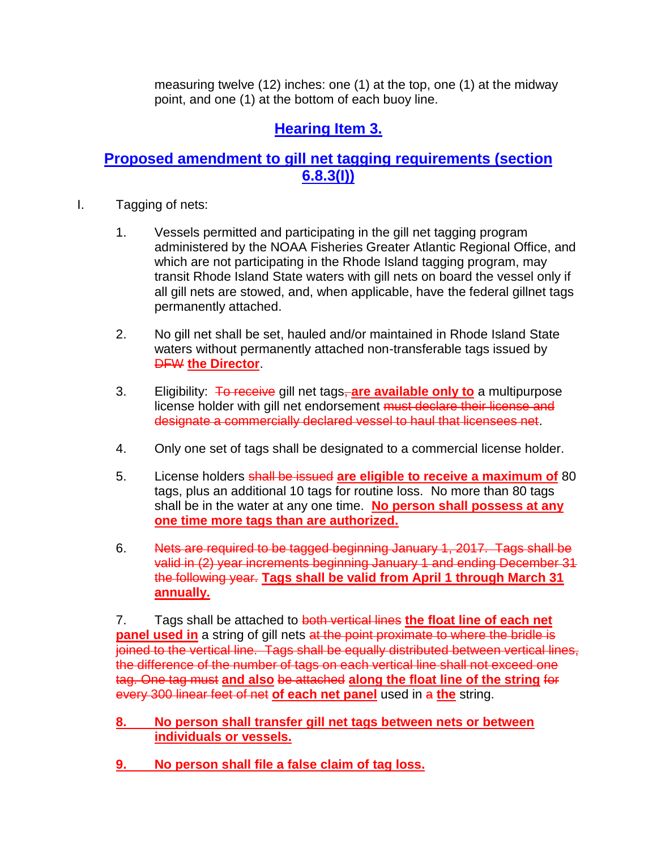measuring twelve (12) inches: one (1) at the top, one (1) at the midway point, and one (1) at the bottom of each buoy line.

# **Hearing Item 3.**

### **Proposed amendment to gill net tagging requirements (section 6.8.3(I))**

- I. Tagging of nets:
	- 1. Vessels permitted and participating in the gill net tagging program administered by the NOAA Fisheries Greater Atlantic Regional Office, and which are not participating in the Rhode Island tagging program, may transit Rhode Island State waters with gill nets on board the vessel only if all gill nets are stowed, and, when applicable, have the federal gillnet tags permanently attached.
	- 2. No gill net shall be set, hauled and/or maintained in Rhode Island State waters without permanently attached non-transferable tags issued by DFW **the Director**.
	- 3. Eligibility: To receive gill net tags, **are available only to** a multipurpose license holder with gill net endorsement must declare their license and designate a commercially declared vessel to haul that licensees net.
	- 4. Only one set of tags shall be designated to a commercial license holder.
	- 5. License holders shall be issued **are eligible to receive a maximum of** 80 tags, plus an additional 10 tags for routine loss. No more than 80 tags shall be in the water at any one time. **No person shall possess at any one time more tags than are authorized.**
	- 6. Nets are required to be tagged beginning January 1, 2017. Tags shall be valid in (2) year increments beginning January 1 and ending December 31 the following year. **Tags shall be valid from April 1 through March 31 annually.**

7. Tags shall be attached to both vertical lines **the float line of each net panel used in** a string of gill nets at the point proximate to where the bridle is joined to the vertical line. Tags shall be equally distributed between vertical lines, the difference of the number of tags on each vertical line shall not exceed one tag. One tag must **and also** be attached **along the float line of the string** for every 300 linear feet of net **of each net panel** used in a **the** string.

- **8. No person shall transfer gill net tags between nets or between individuals or vessels.**
- **9. No person shall file a false claim of tag loss.**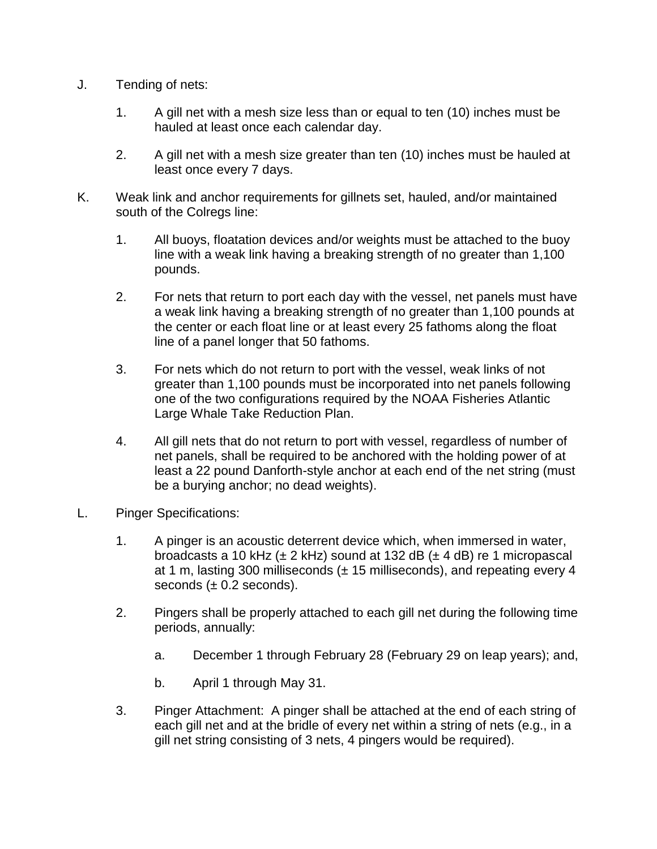- J. Tending of nets:
	- 1. A gill net with a mesh size less than or equal to ten (10) inches must be hauled at least once each calendar day.
	- 2. A gill net with a mesh size greater than ten (10) inches must be hauled at least once every 7 days.
- K. Weak link and anchor requirements for gillnets set, hauled, and/or maintained south of the Colregs line:
	- 1. All buoys, floatation devices and/or weights must be attached to the buoy line with a weak link having a breaking strength of no greater than 1,100 pounds.
	- 2. For nets that return to port each day with the vessel, net panels must have a weak link having a breaking strength of no greater than 1,100 pounds at the center or each float line or at least every 25 fathoms along the float line of a panel longer that 50 fathoms.
	- 3. For nets which do not return to port with the vessel, weak links of not greater than 1,100 pounds must be incorporated into net panels following one of the two configurations required by the NOAA Fisheries Atlantic Large Whale Take Reduction Plan.
	- 4. All gill nets that do not return to port with vessel, regardless of number of net panels, shall be required to be anchored with the holding power of at least a 22 pound Danforth-style anchor at each end of the net string (must be a burying anchor; no dead weights).
- L. Pinger Specifications:
	- 1. A pinger is an acoustic deterrent device which, when immersed in water, broadcasts a 10 kHz ( $\pm$  2 kHz) sound at 132 dB ( $\pm$  4 dB) re 1 micropascal at 1 m, lasting 300 milliseconds  $(± 15$  milliseconds), and repeating every 4 seconds  $(\pm 0.2$  seconds).
	- 2. Pingers shall be properly attached to each gill net during the following time periods, annually:
		- a. December 1 through February 28 (February 29 on leap years); and,
		- b. April 1 through May 31.
	- 3. Pinger Attachment: A pinger shall be attached at the end of each string of each gill net and at the bridle of every net within a string of nets (e.g., in a gill net string consisting of 3 nets, 4 pingers would be required).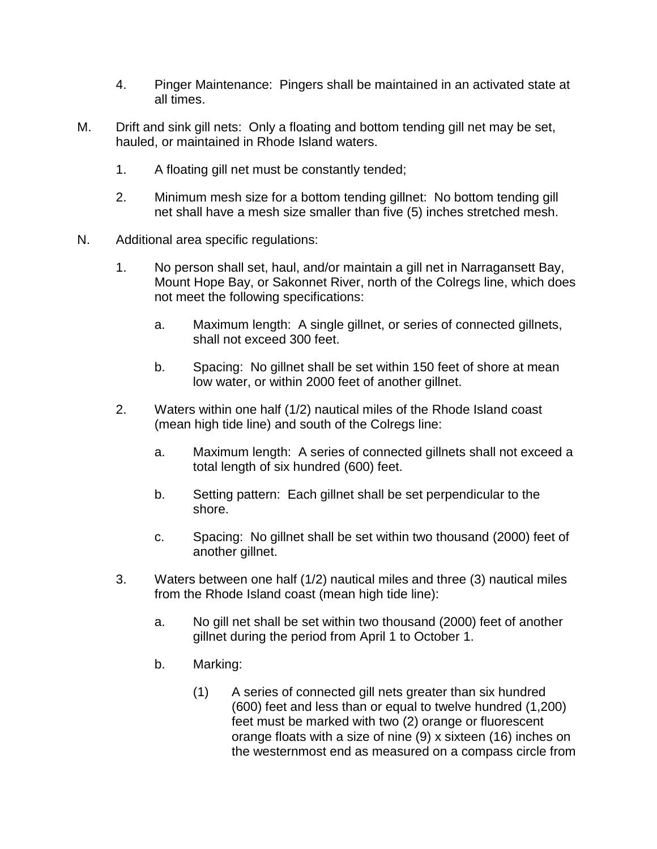- 4. Pinger Maintenance: Pingers shall be maintained in an activated state at all times.
- M. Drift and sink gill nets: Only a floating and bottom tending gill net may be set, hauled, or maintained in Rhode Island waters.
	- 1. A floating gill net must be constantly tended;
	- 2. Minimum mesh size for a bottom tending gillnet: No bottom tending gill net shall have a mesh size smaller than five (5) inches stretched mesh.
- N. Additional area specific regulations:
	- 1. No person shall set, haul, and/or maintain a gill net in Narragansett Bay, Mount Hope Bay, or Sakonnet River, north of the Colregs line, which does not meet the following specifications:
		- a. Maximum length: A single gillnet, or series of connected gillnets, shall not exceed 300 feet.
		- b. Spacing: No gillnet shall be set within 150 feet of shore at mean low water, or within 2000 feet of another gillnet.
	- 2. Waters within one half (1/2) nautical miles of the Rhode Island coast (mean high tide line) and south of the Colregs line:
		- a. Maximum length: A series of connected gillnets shall not exceed a total length of six hundred (600) feet.
		- b. Setting pattern: Each gillnet shall be set perpendicular to the shore.
		- c. Spacing: No gillnet shall be set within two thousand (2000) feet of another gillnet.
	- 3. Waters between one half (1/2) nautical miles and three (3) nautical miles from the Rhode Island coast (mean high tide line):
		- a. No gill net shall be set within two thousand (2000) feet of another gillnet during the period from April 1 to October 1.
		- b. Marking:
			- (1) A series of connected gill nets greater than six hundred (600) feet and less than or equal to twelve hundred (1,200) feet must be marked with two (2) orange or fluorescent orange floats with a size of nine (9) x sixteen (16) inches on the westernmost end as measured on a compass circle from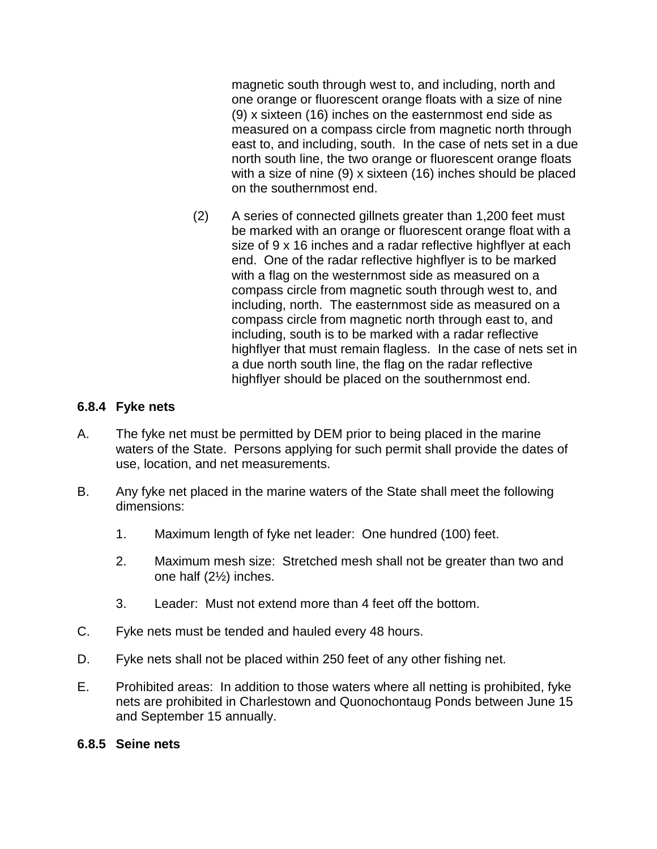magnetic south through west to, and including, north and one orange or fluorescent orange floats with a size of nine (9) x sixteen (16) inches on the easternmost end side as measured on a compass circle from magnetic north through east to, and including, south. In the case of nets set in a due north south line, the two orange or fluorescent orange floats with a size of nine (9) x sixteen (16) inches should be placed on the southernmost end.

(2) A series of connected gillnets greater than 1,200 feet must be marked with an orange or fluorescent orange float with a size of 9 x 16 inches and a radar reflective highflyer at each end. One of the radar reflective highflyer is to be marked with a flag on the westernmost side as measured on a compass circle from magnetic south through west to, and including, north. The easternmost side as measured on a compass circle from magnetic north through east to, and including, south is to be marked with a radar reflective highflyer that must remain flagless. In the case of nets set in a due north south line, the flag on the radar reflective highflyer should be placed on the southernmost end.

#### **6.8.4 Fyke nets**

- A. The fyke net must be permitted by DEM prior to being placed in the marine waters of the State. Persons applying for such permit shall provide the dates of use, location, and net measurements.
- B. Any fyke net placed in the marine waters of the State shall meet the following dimensions:
	- 1. Maximum length of fyke net leader: One hundred (100) feet.
	- 2. Maximum mesh size: Stretched mesh shall not be greater than two and one half (2½) inches.
	- 3. Leader: Must not extend more than 4 feet off the bottom.
- C. Fyke nets must be tended and hauled every 48 hours.
- D. Fyke nets shall not be placed within 250 feet of any other fishing net.
- E. Prohibited areas: In addition to those waters where all netting is prohibited, fyke nets are prohibited in Charlestown and Quonochontaug Ponds between June 15 and September 15 annually.

#### **6.8.5 Seine nets**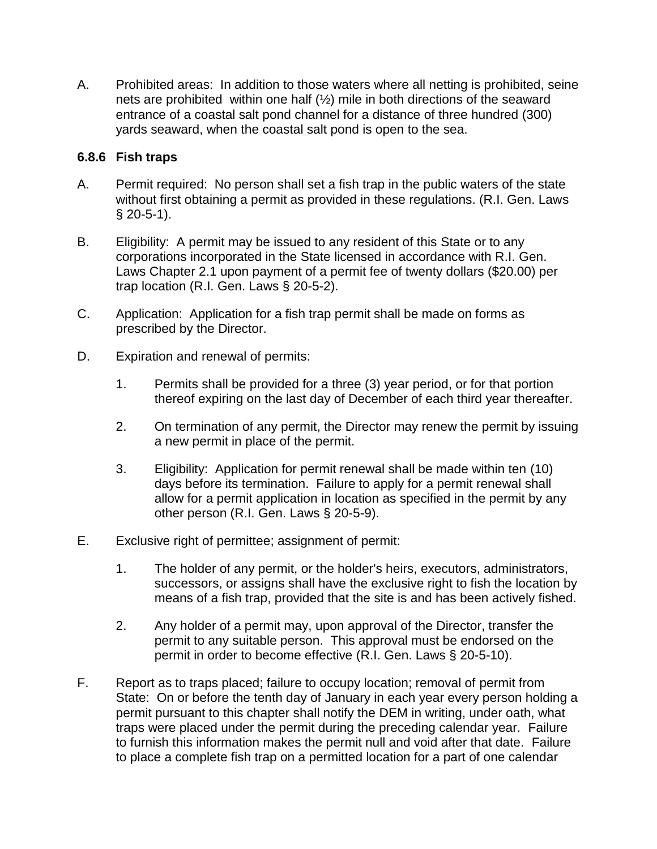A. Prohibited areas: In addition to those waters where all netting is prohibited, seine nets are prohibited within one half (½) mile in both directions of the seaward entrance of a coastal salt pond channel for a distance of three hundred (300) yards seaward, when the coastal salt pond is open to the sea.

#### **6.8.6 Fish traps**

- A. Permit required: No person shall set a fish trap in the public waters of the state without first obtaining a permit as provided in these regulations. (R.I. Gen. Laws § 20-5-1).
- B. Eligibility: A permit may be issued to any resident of this State or to any corporations incorporated in the State licensed in accordance with R.I. Gen. Laws Chapter 2.1 upon payment of a permit fee of twenty dollars (\$20.00) per trap location (R.I. Gen. Laws § 20-5-2).
- C. Application: Application for a fish trap permit shall be made on forms as prescribed by the Director.
- D. Expiration and renewal of permits:
	- 1. Permits shall be provided for a three (3) year period, or for that portion thereof expiring on the last day of December of each third year thereafter.
	- 2. On termination of any permit, the Director may renew the permit by issuing a new permit in place of the permit.
	- 3. Eligibility: Application for permit renewal shall be made within ten (10) days before its termination. Failure to apply for a permit renewal shall allow for a permit application in location as specified in the permit by any other person (R.I. Gen. Laws § 20-5-9).
- E. Exclusive right of permittee; assignment of permit:
	- 1. The holder of any permit, or the holder's heirs, executors, administrators, successors, or assigns shall have the exclusive right to fish the location by means of a fish trap, provided that the site is and has been actively fished.
	- 2. Any holder of a permit may, upon approval of the Director, transfer the permit to any suitable person. This approval must be endorsed on the permit in order to become effective (R.I. Gen. Laws § 20-5-10).
- F. Report as to traps placed; failure to occupy location; removal of permit from State: On or before the tenth day of January in each year every person holding a permit pursuant to this chapter shall notify the DEM in writing, under oath, what traps were placed under the permit during the preceding calendar year. Failure to furnish this information makes the permit null and void after that date. Failure to place a complete fish trap on a permitted location for a part of one calendar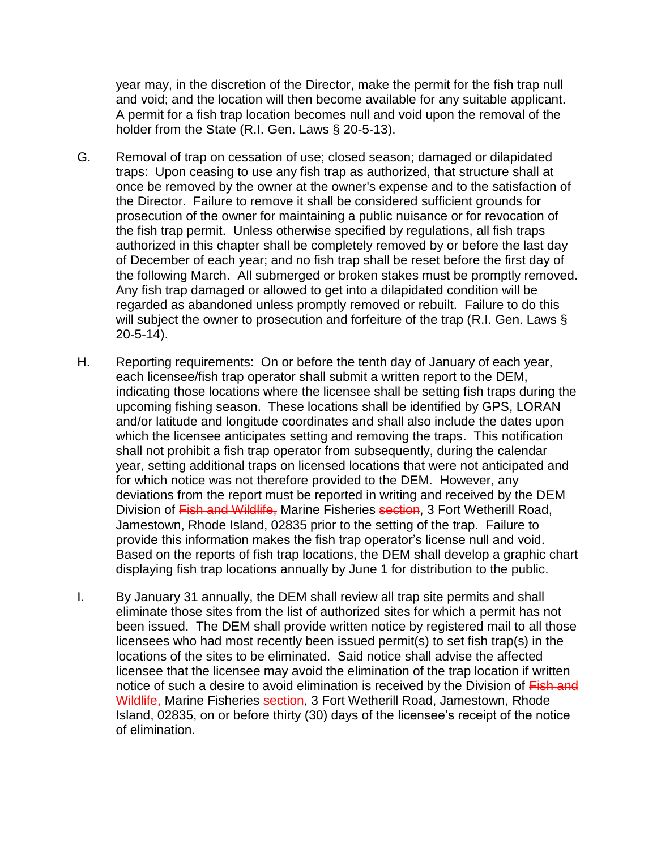year may, in the discretion of the Director, make the permit for the fish trap null and void; and the location will then become available for any suitable applicant. A permit for a fish trap location becomes null and void upon the removal of the holder from the State (R.I. Gen. Laws § 20-5-13).

- G. Removal of trap on cessation of use; closed season; damaged or dilapidated traps: Upon ceasing to use any fish trap as authorized, that structure shall at once be removed by the owner at the owner's expense and to the satisfaction of the Director. Failure to remove it shall be considered sufficient grounds for prosecution of the owner for maintaining a public nuisance or for revocation of the fish trap permit. Unless otherwise specified by regulations, all fish traps authorized in this chapter shall be completely removed by or before the last day of December of each year; and no fish trap shall be reset before the first day of the following March. All submerged or broken stakes must be promptly removed. Any fish trap damaged or allowed to get into a dilapidated condition will be regarded as abandoned unless promptly removed or rebuilt. Failure to do this will subject the owner to prosecution and forfeiture of the trap (R.I. Gen. Laws § 20-5-14).
- H. Reporting requirements: On or before the tenth day of January of each year, each licensee/fish trap operator shall submit a written report to the DEM, indicating those locations where the licensee shall be setting fish traps during the upcoming fishing season. These locations shall be identified by GPS, LORAN and/or latitude and longitude coordinates and shall also include the dates upon which the licensee anticipates setting and removing the traps. This notification shall not prohibit a fish trap operator from subsequently, during the calendar year, setting additional traps on licensed locations that were not anticipated and for which notice was not therefore provided to the DEM. However, any deviations from the report must be reported in writing and received by the DEM Division of Fish and Wildlife, Marine Fisheries section, 3 Fort Wetherill Road, Jamestown, Rhode Island, 02835 prior to the setting of the trap. Failure to provide this information makes the fish trap operator's license null and void. Based on the reports of fish trap locations, the DEM shall develop a graphic chart displaying fish trap locations annually by June 1 for distribution to the public.
- I. By January 31 annually, the DEM shall review all trap site permits and shall eliminate those sites from the list of authorized sites for which a permit has not been issued. The DEM shall provide written notice by registered mail to all those licensees who had most recently been issued permit(s) to set fish trap(s) in the locations of the sites to be eliminated. Said notice shall advise the affected licensee that the licensee may avoid the elimination of the trap location if written notice of such a desire to avoid elimination is received by the Division of Fish and Wildlife, Marine Fisheries section, 3 Fort Wetherill Road, Jamestown, Rhode Island, 02835, on or before thirty (30) days of the licensee's receipt of the notice of elimination.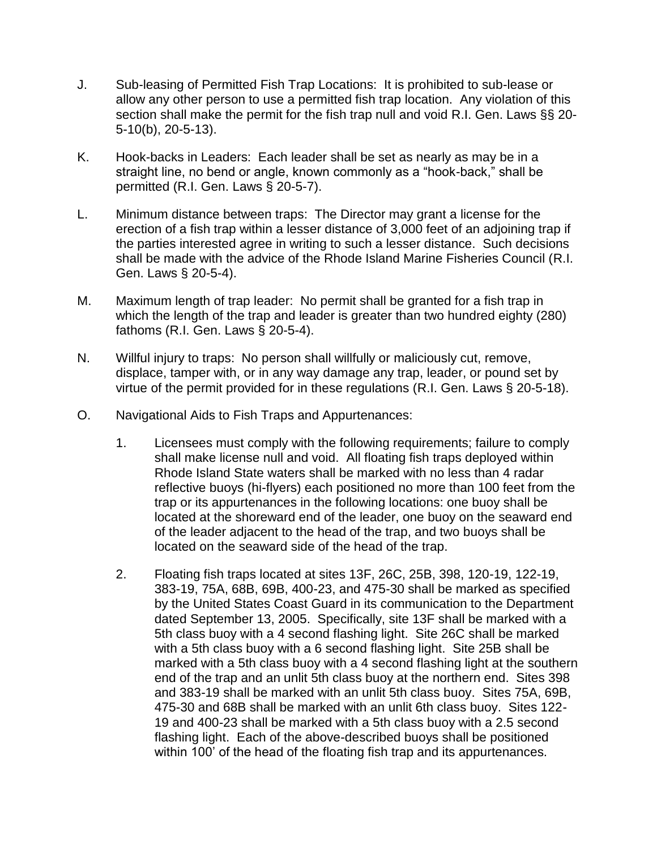- J. Sub-leasing of Permitted Fish Trap Locations: It is prohibited to sub-lease or allow any other person to use a permitted fish trap location. Any violation of this section shall make the permit for the fish trap null and void R.I. Gen. Laws §§ 20- 5-10(b), 20-5-13).
- K. Hook-backs in Leaders: Each leader shall be set as nearly as may be in a straight line, no bend or angle, known commonly as a "hook-back," shall be permitted (R.I. Gen. Laws § 20-5-7).
- L. Minimum distance between traps: The Director may grant a license for the erection of a fish trap within a lesser distance of 3,000 feet of an adjoining trap if the parties interested agree in writing to such a lesser distance. Such decisions shall be made with the advice of the Rhode Island Marine Fisheries Council (R.I. Gen. Laws § 20-5-4).
- M. Maximum length of trap leader: No permit shall be granted for a fish trap in which the length of the trap and leader is greater than two hundred eighty (280) fathoms (R.I. Gen. Laws § 20-5-4).
- N. Willful injury to traps: No person shall willfully or maliciously cut, remove, displace, tamper with, or in any way damage any trap, leader, or pound set by virtue of the permit provided for in these regulations (R.I. Gen. Laws § 20-5-18).
- O. Navigational Aids to Fish Traps and Appurtenances:
	- 1. Licensees must comply with the following requirements; failure to comply shall make license null and void. All floating fish traps deployed within Rhode Island State waters shall be marked with no less than 4 radar reflective buoys (hi-flyers) each positioned no more than 100 feet from the trap or its appurtenances in the following locations: one buoy shall be located at the shoreward end of the leader, one buoy on the seaward end of the leader adjacent to the head of the trap, and two buoys shall be located on the seaward side of the head of the trap.
	- 2. Floating fish traps located at sites 13F, 26C, 25B, 398, 120-19, 122-19, 383-19, 75A, 68B, 69B, 400-23, and 475-30 shall be marked as specified by the United States Coast Guard in its communication to the Department dated September 13, 2005. Specifically, site 13F shall be marked with a 5th class buoy with a 4 second flashing light. Site 26C shall be marked with a 5th class buoy with a 6 second flashing light. Site 25B shall be marked with a 5th class buoy with a 4 second flashing light at the southern end of the trap and an unlit 5th class buoy at the northern end. Sites 398 and 383-19 shall be marked with an unlit 5th class buoy. Sites 75A, 69B, 475-30 and 68B shall be marked with an unlit 6th class buoy. Sites 122- 19 and 400-23 shall be marked with a 5th class buoy with a 2.5 second flashing light. Each of the above-described buoys shall be positioned within 100' of the head of the floating fish trap and its appurtenances.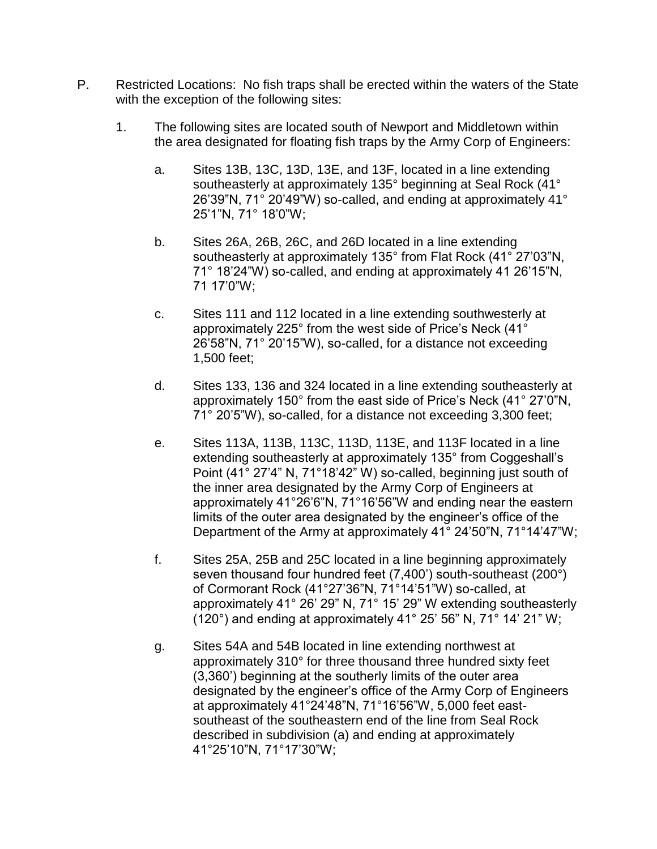- P. Restricted Locations: No fish traps shall be erected within the waters of the State with the exception of the following sites:
	- 1. The following sites are located south of Newport and Middletown within the area designated for floating fish traps by the Army Corp of Engineers:
		- a. Sites 13B, 13C, 13D, 13E, and 13F, located in a line extending southeasterly at approximately 135° beginning at Seal Rock (41° 26'39"N, 71° 20'49"W) so-called, and ending at approximately 41° 25'1"N, 71° 18'0"W;
		- b. Sites 26A, 26B, 26C, and 26D located in a line extending southeasterly at approximately 135° from Flat Rock (41° 27'03"N, 71° 18'24"W) so-called, and ending at approximately 41 26'15"N, 71 17'0"W;
		- c. Sites 111 and 112 located in a line extending southwesterly at approximately 225° from the west side of Price's Neck (41° 26'58"N, 71° 20'15"W), so-called, for a distance not exceeding 1,500 feet;
		- d. Sites 133, 136 and 324 located in a line extending southeasterly at approximately 150° from the east side of Price's Neck (41° 27'0"N, 71° 20'5"W), so-called, for a distance not exceeding 3,300 feet;
		- e. Sites 113A, 113B, 113C, 113D, 113E, and 113F located in a line extending southeasterly at approximately 135° from Coggeshall's Point (41° 27'4" N, 71°18'42" W) so-called, beginning just south of the inner area designated by the Army Corp of Engineers at approximately 41°26'6"N, 71°16'56"W and ending near the eastern limits of the outer area designated by the engineer's office of the Department of the Army at approximately 41° 24'50"N, 71°14'47"W;
		- f. Sites 25A, 25B and 25C located in a line beginning approximately seven thousand four hundred feet (7,400') south-southeast (200°) of Cormorant Rock (41°27'36"N, 71°14'51"W) so-called, at approximately 41° 26' 29" N, 71° 15' 29" W extending southeasterly (120°) and ending at approximately 41° 25' 56" N, 71° 14' 21" W;
		- g. Sites 54A and 54B located in line extending northwest at approximately 310° for three thousand three hundred sixty feet (3,360') beginning at the southerly limits of the outer area designated by the engineer's office of the Army Corp of Engineers at approximately 41°24'48"N, 71°16'56"W, 5,000 feet eastsoutheast of the southeastern end of the line from Seal Rock described in subdivision (a) and ending at approximately 41°25'10"N, 71°17'30"W;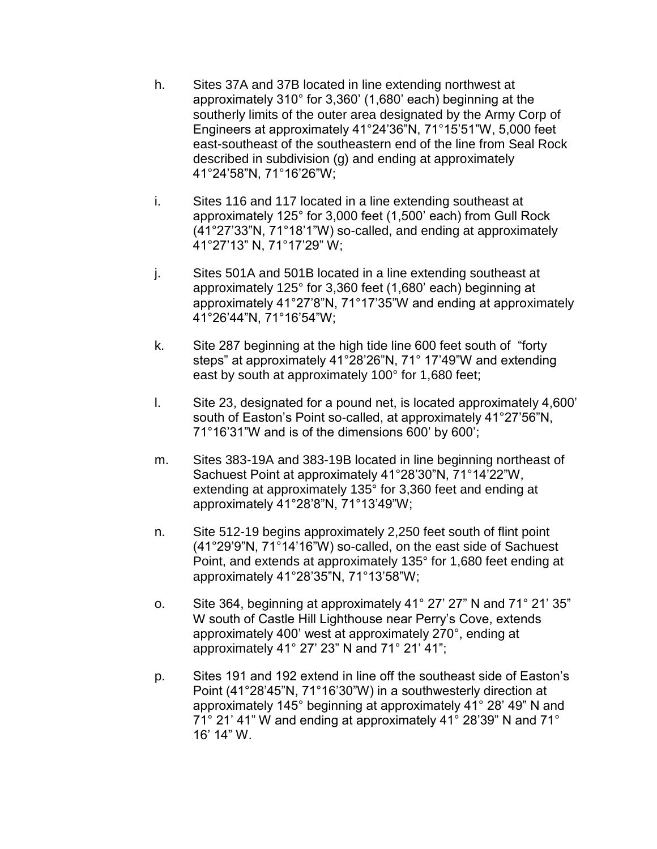- h. Sites 37A and 37B located in line extending northwest at approximately 310° for 3,360' (1,680' each) beginning at the southerly limits of the outer area designated by the Army Corp of Engineers at approximately 41°24'36"N, 71°15'51"W, 5,000 feet east-southeast of the southeastern end of the line from Seal Rock described in subdivision (g) and ending at approximately 41°24'58"N, 71°16'26"W;
- i. Sites 116 and 117 located in a line extending southeast at approximately 125° for 3,000 feet (1,500' each) from Gull Rock (41°27'33"N, 71°18'1"W) so-called, and ending at approximately 41°27'13" N, 71°17'29" W;
- j. Sites 501A and 501B located in a line extending southeast at approximately 125° for 3,360 feet (1,680' each) beginning at approximately 41°27'8"N, 71°17'35"W and ending at approximately 41°26'44"N, 71°16'54"W;
- k. Site 287 beginning at the high tide line 600 feet south of "forty steps" at approximately 41°28'26"N, 71° 17'49"W and extending east by south at approximately 100° for 1,680 feet;
- l. Site 23, designated for a pound net, is located approximately 4,600' south of Easton's Point so-called, at approximately 41°27'56"N, 71°16'31"W and is of the dimensions 600' by 600';
- m. Sites 383-19A and 383-19B located in line beginning northeast of Sachuest Point at approximately 41°28'30"N, 71°14'22"W, extending at approximately 135° for 3,360 feet and ending at approximately 41°28'8"N, 71°13'49"W;
- n. Site 512-19 begins approximately 2,250 feet south of flint point (41°29'9"N, 71°14'16"W) so-called, on the east side of Sachuest Point, and extends at approximately 135° for 1,680 feet ending at approximately 41°28'35"N, 71°13'58"W;
- o. Site 364, beginning at approximately 41° 27' 27" N and 71° 21' 35" W south of Castle Hill Lighthouse near Perry's Cove, extends approximately 400' west at approximately 270°, ending at approximately 41° 27' 23" N and 71° 21' 41";
- p. Sites 191 and 192 extend in line off the southeast side of Easton's Point (41°28'45"N, 71°16'30"W) in a southwesterly direction at approximately 145° beginning at approximately 41° 28' 49" N and 71° 21' 41" W and ending at approximately 41° 28'39" N and 71° 16' 14" W.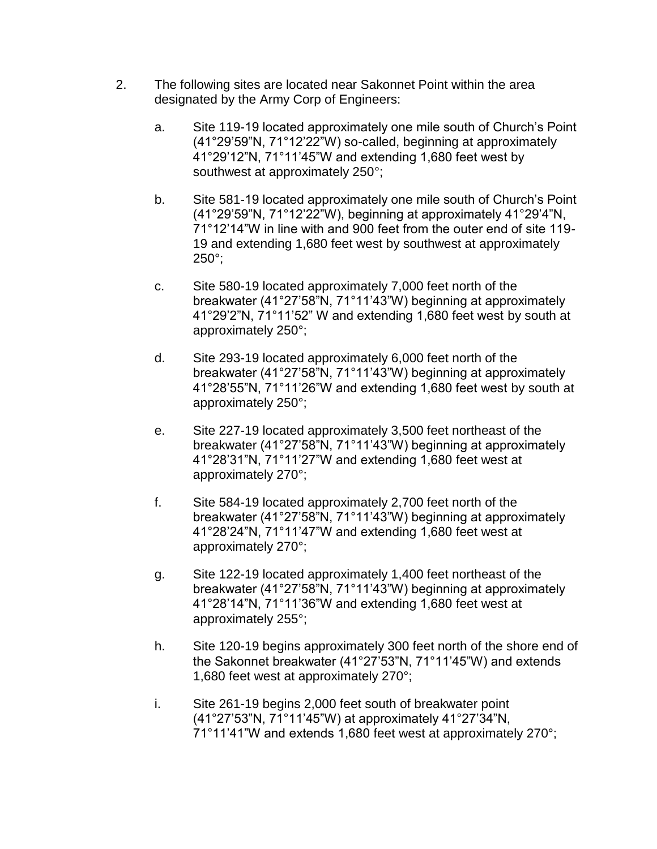- 2. The following sites are located near Sakonnet Point within the area designated by the Army Corp of Engineers:
	- a. Site 119-19 located approximately one mile south of Church's Point (41°29'59"N, 71°12'22"W) so-called, beginning at approximately 41°29'12"N, 71°11'45"W and extending 1,680 feet west by southwest at approximately 250°;
	- b. Site 581-19 located approximately one mile south of Church's Point (41°29'59"N, 71°12'22"W), beginning at approximately 41°29'4"N, 71°12'14"W in line with and 900 feet from the outer end of site 119- 19 and extending 1,680 feet west by southwest at approximately  $250^\circ$ ;
	- c. Site 580-19 located approximately 7,000 feet north of the breakwater (41°27'58"N, 71°11'43"W) beginning at approximately 41°29'2"N, 71°11'52" W and extending 1,680 feet west by south at approximately 250°;
	- d. Site 293-19 located approximately 6,000 feet north of the breakwater (41°27'58"N, 71°11'43"W) beginning at approximately 41°28'55"N, 71°11'26"W and extending 1,680 feet west by south at approximately 250°;
	- e. Site 227-19 located approximately 3,500 feet northeast of the breakwater (41°27'58"N, 71°11'43"W) beginning at approximately 41°28'31"N, 71°11'27"W and extending 1,680 feet west at approximately 270°;
	- f. Site 584-19 located approximately 2,700 feet north of the breakwater (41°27'58"N, 71°11'43"W) beginning at approximately 41°28'24"N, 71°11'47"W and extending 1,680 feet west at approximately 270°;
	- g. Site 122-19 located approximately 1,400 feet northeast of the breakwater (41°27'58"N, 71°11'43"W) beginning at approximately 41°28'14"N, 71°11'36"W and extending 1,680 feet west at approximately 255°;
	- h. Site 120-19 begins approximately 300 feet north of the shore end of the Sakonnet breakwater (41°27'53"N, 71°11'45"W) and extends 1,680 feet west at approximately 270°;
	- i. Site 261-19 begins 2,000 feet south of breakwater point (41°27'53"N, 71°11'45"W) at approximately 41°27'34"N, 71°11'41"W and extends 1,680 feet west at approximately 270°;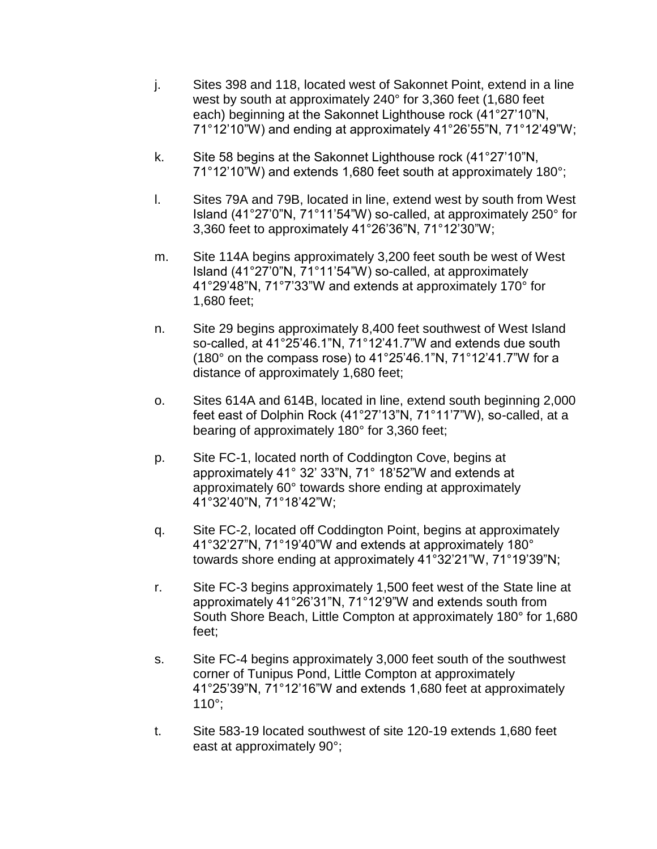- j. Sites 398 and 118, located west of Sakonnet Point, extend in a line west by south at approximately 240° for 3,360 feet (1,680 feet each) beginning at the Sakonnet Lighthouse rock (41°27'10"N, 71°12'10"W) and ending at approximately 41°26'55"N, 71°12'49"W;
- k. Site 58 begins at the Sakonnet Lighthouse rock (41°27'10"N, 71°12'10"W) and extends 1,680 feet south at approximately 180°;
- l. Sites 79A and 79B, located in line, extend west by south from West Island (41°27'0"N, 71°11'54"W) so-called, at approximately 250° for 3,360 feet to approximately 41°26'36"N, 71°12'30"W;
- m. Site 114A begins approximately 3,200 feet south be west of West Island (41°27'0"N, 71°11'54"W) so-called, at approximately 41°29'48"N, 71°7'33"W and extends at approximately 170° for 1,680 feet;
- n. Site 29 begins approximately 8,400 feet southwest of West Island so-called, at 41°25'46.1"N, 71°12'41.7"W and extends due south (180° on the compass rose) to 41°25'46.1"N, 71°12'41.7"W for a distance of approximately 1,680 feet;
- o. Sites 614A and 614B, located in line, extend south beginning 2,000 feet east of Dolphin Rock (41°27'13"N, 71°11'7"W), so-called, at a bearing of approximately 180° for 3,360 feet;
- p. Site FC-1, located north of Coddington Cove, begins at approximately 41° 32' 33"N, 71° 18'52"W and extends at approximately 60° towards shore ending at approximately 41°32'40"N, 71°18'42"W;
- q. Site FC-2, located off Coddington Point, begins at approximately 41°32'27"N, 71°19'40"W and extends at approximately 180° towards shore ending at approximately 41°32'21"W, 71°19'39"N;
- r. Site FC-3 begins approximately 1,500 feet west of the State line at approximately 41°26'31"N, 71°12'9"W and extends south from South Shore Beach, Little Compton at approximately 180° for 1,680 feet;
- s. Site FC-4 begins approximately 3,000 feet south of the southwest corner of Tunipus Pond, Little Compton at approximately 41°25'39"N, 71°12'16"W and extends 1,680 feet at approximately 110°;
- t. Site 583-19 located southwest of site 120-19 extends 1,680 feet east at approximately 90°;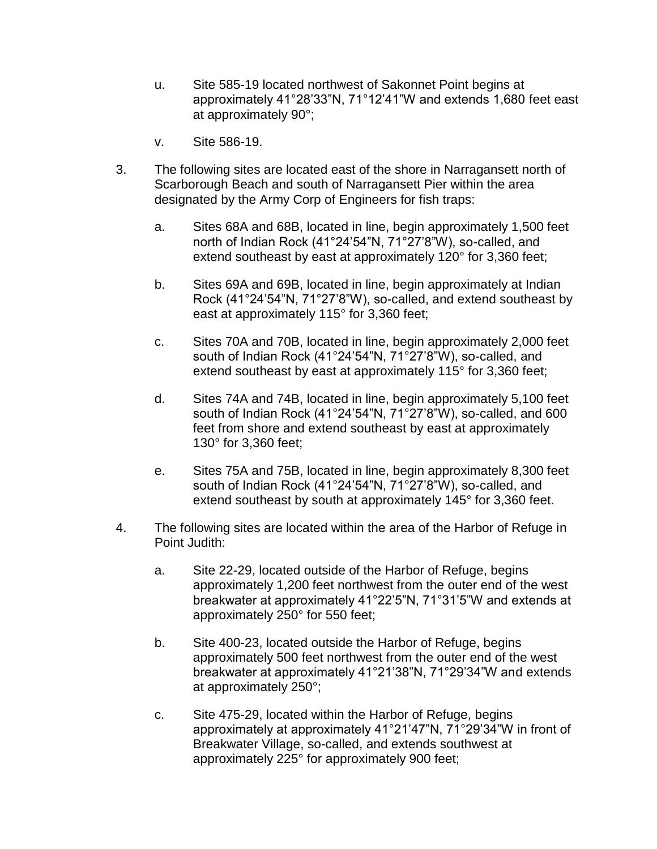- u. Site 585-19 located northwest of Sakonnet Point begins at approximately 41°28'33"N, 71°12'41"W and extends 1,680 feet east at approximately 90°;
- v. Site 586-19.
- 3. The following sites are located east of the shore in Narragansett north of Scarborough Beach and south of Narragansett Pier within the area designated by the Army Corp of Engineers for fish traps:
	- a. Sites 68A and 68B, located in line, begin approximately 1,500 feet north of Indian Rock (41°24'54"N, 71°27'8"W), so-called, and extend southeast by east at approximately 120° for 3,360 feet;
	- b. Sites 69A and 69B, located in line, begin approximately at Indian Rock (41°24'54"N, 71°27'8"W), so-called, and extend southeast by east at approximately 115° for 3,360 feet;
	- c. Sites 70A and 70B, located in line, begin approximately 2,000 feet south of Indian Rock (41°24'54"N, 71°27'8"W), so-called, and extend southeast by east at approximately 115° for 3,360 feet;
	- d. Sites 74A and 74B, located in line, begin approximately 5,100 feet south of Indian Rock (41°24'54"N, 71°27'8"W), so-called, and 600 feet from shore and extend southeast by east at approximately 130° for 3,360 feet;
	- e. Sites 75A and 75B, located in line, begin approximately 8,300 feet south of Indian Rock (41°24'54"N, 71°27'8"W), so-called, and extend southeast by south at approximately 145° for 3,360 feet.
- 4. The following sites are located within the area of the Harbor of Refuge in Point Judith:
	- a. Site 22-29, located outside of the Harbor of Refuge, begins approximately 1,200 feet northwest from the outer end of the west breakwater at approximately 41°22'5"N, 71°31'5"W and extends at approximately 250° for 550 feet;
	- b. Site 400-23, located outside the Harbor of Refuge, begins approximately 500 feet northwest from the outer end of the west breakwater at approximately 41°21'38"N, 71°29'34"W and extends at approximately 250°;
	- c. Site 475-29, located within the Harbor of Refuge, begins approximately at approximately 41°21'47"N, 71°29'34"W in front of Breakwater Village, so-called, and extends southwest at approximately 225° for approximately 900 feet;